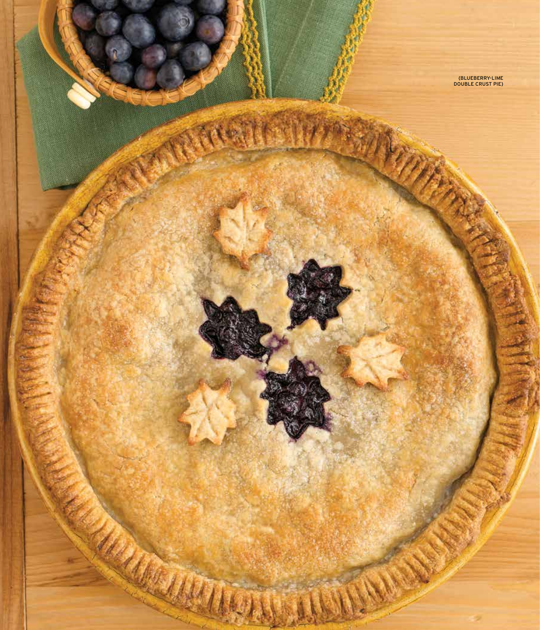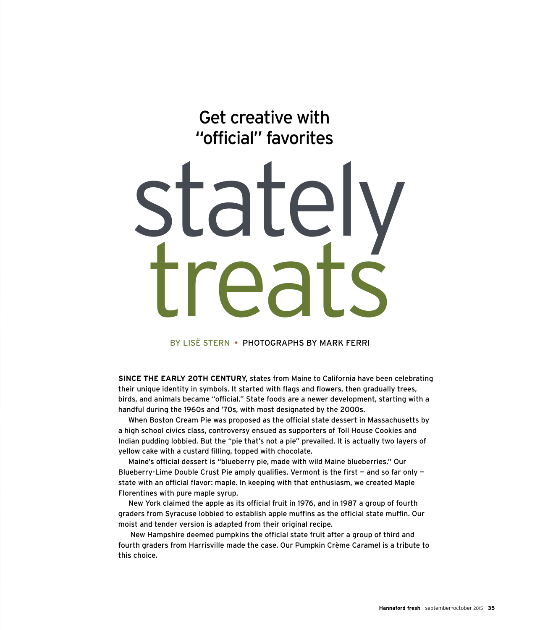Get creative with "official" favorites

# stat treats

By Lisë Stern • photographs by mark ferri

**Since the early 20th century,** states from Maine to California have been celebrating their unique identity in symbols. It started with flags and flowers, then gradually trees, birds, and animals became "official." State foods are a newer development, starting with a handful during the 1960s and '70s, with most designated by the 2000s.

When Boston Cream Pie was proposed as the official state dessert in Massachusetts by a high school civics class, controversy ensued as supporters of Toll House Cookies and Indian pudding lobbied. But the "pie that's not a pie" prevailed. It is actually two layers of yellow cake with a custard filling, topped with chocolate.

Maine's official dessert is "blueberry pie, made with wild Maine blueberries." Our Blueberry-Lime Double Crust Pie amply qualifies. Vermont is the first  $-$  and so far only  $$ state with an official flavor: maple. In keeping with that enthusiasm, we created Maple Florentines with pure maple syrup.

New York claimed the apple as its official fruit in 1976, and in 1987 a group of fourth graders from Syracuse lobbied to establish apple muffins as the official state muffin. Our moist and tender version is adapted from their original recipe.

 New Hampshire deemed pumpkins the official state fruit after a group of third and fourth graders from Harrisville made the case. Our Pumpkin Crème Caramel is a tribute to this choice.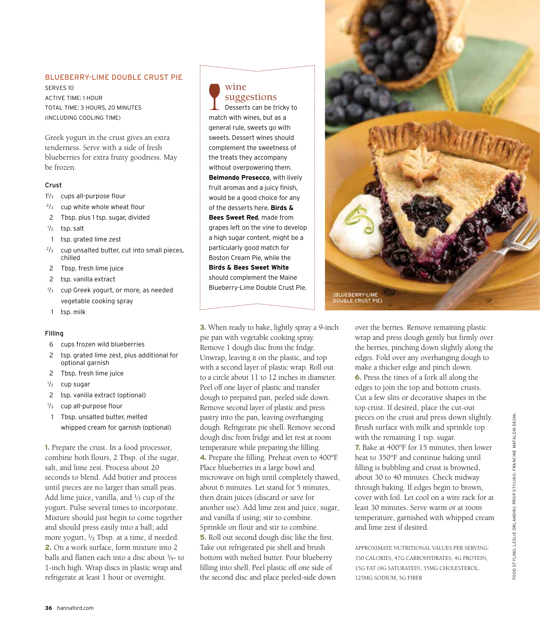### Blueberry-Lime Double Crust Pie

Serves 10 Active time: 1 hour Total Time: 3 hours, 20 minutes (including cooling time)

Greek yogurt in the crust gives an extra tenderness. Serve with a side of fresh blueberries for extra fruity goodness. May be frozen.

### Crust

- 1 1 /3 cups all-purpose flour
- $2/3$  cup white whole wheat flour
- 2 Tbsp. plus 1 tsp. sugar, divided
- $\frac{1}{2}$ tsp. salt
- 1 tsp. grated lime zest
- $2/3$  cup unsalted butter, cut into small pieces, chilled
- 2 Tbsp. fresh lime juice
- 2 tsp. vanilla extract
- 1 /3 cup Greek yogurt, or more, as needed vegetable cooking spray
- 1 tsp. milk

### Filling

- 6 cups frozen wild blueberries
- 2 tsp. grated lime zest, plus additional for optional garnish
- 2 Tbsp. fresh lime juice
- $\frac{1}{2}$  cup sugar
- 2 tsp. vanilla extract (optional)
- $1/2$ cup all-purpose flour
- 1 Tbsp. unsalted butter, melted whipped cream for garnish (optional)

**1.** Prepare the crust. In a food processor, combine both flours, 2 Tbsp. of the sugar, salt, and lime zest. Process about 20 seconds to blend. Add butter and process until pieces are no larger than small peas. Add lime juice, vanilla, and  $\frac{1}{3}$  cup of the yogurt. Pulse several times to incorporate. Mixture should just begin to come together and should press easily into a ball; add more yogurt, 1⁄2 Tbsp. at a time, if needed. **2.** On a work surface, form mixture into 2 balls and flatten each into a disc about 3⁄4- to 1-inch high. Wrap discs in plastic wrap and refrigerate at least 1 hour or overnight.



# suggestions

Desserts can be tricky to match with wines, but as a general rule, sweets go with sweets. Dessert wines should complement the sweetness of the treats they accompany without overpowering them. **Belmondo Prosecco**, with lively fruit aromas and a juicy finish, would be a good choice for any of the desserts here. **Birds & Bees Sweet Red**, made from grapes left on the vine to develop a high sugar content, might be a particularly good match for Boston Cream Pie, while the **Birds & Bees Sweet White**  should complement the Maine Blueberry-Lime Double Crust Pie.

**3.** When ready to bake, lightly spray a 9-inch pie pan with vegetable cooking spray. Remove 1 dough disc from the fridge. Unwrap, leaving it on the plastic, and top with a second layer of plastic wrap. Roll out to a circle about 11 to 12 inches in diameter. Peel off one layer of plastic and transfer dough to prepared pan, peeled side down. Remove second layer of plastic and press pastry into the pan, leaving overhanging dough. Refrigerate pie shell. Remove second dough disc from fridge and let rest at room temperature while preparing the filling. **4.** Prepare the filling. Preheat oven to 400°F. Place blueberries in a large bowl and microwave on high until completely thawed, about 6 minutes. Let stand for 5 minutes, then drain juices (discard or save for another use). Add lime zest and juice, sugar, and vanilla if using; stir to combine. Sprinkle on flour and stir to combine. **5.** Roll out second dough disc like the first. Take out refrigerated pie shell and brush bottom with melted butter. Pour blueberry filling into shell. Peel plastic off one side of the second disc and place peeled-side down



over the berries. Remove remaining plastic wrap and press dough gently but firmly over the berries, pinching down slightly along the edges. Fold over any overhanging dough to make a thicker edge and pinch down. **6.** Press the tines of a fork all along the edges to join the top and bottom crusts. Cut a few slits or decorative shapes in the top crust. If desired, place the cut-out pieces on the crust and press down slightly. Brush surface with milk and sprinkle top with the remaining 1 tsp. sugar. **7.** Bake at 400°F for 15 minutes, then lower heat to 350°F and continue baking until filling is bubbling and crust is browned, about 30 to 40 minutes. Check midway through baking. If edges begin to brown, cover with foil. Let cool on a wire rack for at least 30 minutes. Serve warm or at room temperature, garnished with whipped cream and lime zest if desired.

APPROXIMATE NUTRITIONAL VALUES PER SERVING: 330 CALORIES, 47G CARBOHYDRATES, 4G PROTEIN, 15G FAT (9G SATURATED), 35MG CHOLESTEROL, 125MG SODIUM, 5G FIBER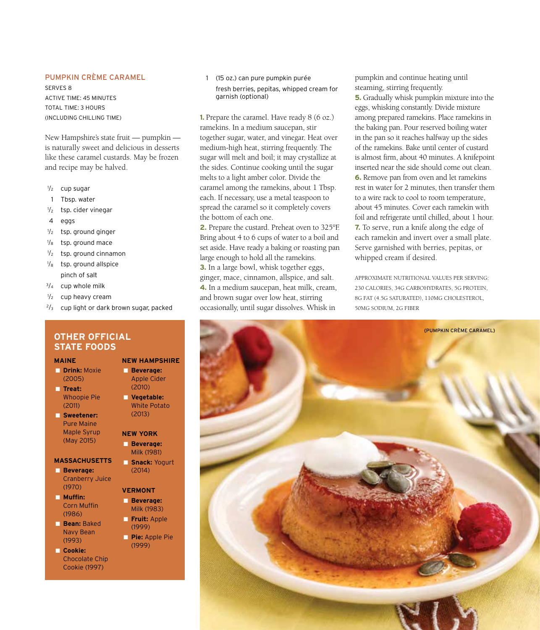### Pumpkin Crème Caramel

Serves 8 Active time: 45 minutes Total time: 3 hours (including chilling time)

New Hampshire's state fruit — pumpkin is naturally sweet and delicious in desserts like these caramel custards. May be frozen and recipe may be halved.

- 1 /2 cup sugar
- 1 Tbsp. water
- $\frac{1}{2}$ tsp. cider vinegar
- 4 eggs
- $\frac{1}{2}$ tsp. ground ginger
- $\frac{1}{8}$ tsp. ground mace
- $1/2$ tsp. ground cinnamon
- $^{1}/_{8}$ tsp. ground allspice pinch of salt
- $3/4$  cup whole milk
- 1 /2 cup heavy cream
- $2/3$  cup light or dark brown sugar, packed

### **Other Official State Foods**

### **MAINE**

- **Drink:** Moxie (2005)
- **Treat:**  Whoopie Pie (2011)
- **Sweetener:**  Pure Maine Maple Syrup (May 2015)

### **MASSACHUSETTS**

- **Beverage:**  Cranberry Juice (1970)
- **Muffin:**  Corn Muffin (1986)
- **Bean:** Baked Navy Bean (1993)
- **Cookie:**  Chocolate Chip Cookie (1997)

### 1 (15 oz.) can pure pumpkin purée fresh berries, pepitas, whipped cream for garnish (optional)

**1.** Prepare the caramel. Have ready 8 (6 oz.) ramekins. In a medium saucepan, stir together sugar, water, and vinegar. Heat over medium-high heat, stirring frequently. The sugar will melt and boil; it may crystallize at the sides. Continue cooking until the sugar melts to a light amber color. Divide the caramel among the ramekins, about 1 Tbsp. each. If necessary, use a metal teaspoon to spread the caramel so it completely covers the bottom of each one.

**2.** Prepare the custard. Preheat oven to 325°F. Bring about 4 to 6 cups of water to a boil and set aside. Have ready a baking or roasting pan large enough to hold all the ramekins. **3.** In a large bowl, whisk together eggs, ginger, mace, cinnamon, allspice, and salt. **4.** In a medium saucepan, heat milk, cream, and brown sugar over low heat, stirring occasionally, until sugar dissolves. Whisk in

pumpkin and continue heating until steaming, stirring frequently.

**5.** Gradually whisk pumpkin mixture into the eggs, whisking constantly. Divide mixture among prepared ramekins. Place ramekins in the baking pan. Pour reserved boiling water in the pan so it reaches halfway up the sides of the ramekins. Bake until center of custard is almost firm, about 40 minutes. A knifepoint inserted near the side should come out clean. **6.** Remove pan from oven and let ramekins rest in water for 2 minutes, then transfer them to a wire rack to cool to room temperature, about 45 minutes. Cover each ramekin with foil and refrigerate until chilled, about 1 hour. **7.** To serve, run a knife along the edge of each ramekin and invert over a small plate. Serve garnished with berries, pepitas, or whipped cream if desired.

APPROXIMATE NUTRITIONAL VALUES PER SERVING: 230 CALORIES, 34G CARBOHYDRATES, 5G PROTEIN, 8G FAT (4.5G SATURATED), 110MG CHOLESTEROL, 50MG SODIUM, 2G FIBER



### ■ **Beverage:**  Apple Cider (2010)

**NEW HAMPSHIRE**

 ■ **Vegetable:** White Potato (2013)

### **NEW YORK**

 ■ **Beverage:**  Milk (1981)

 ■ **Snack:** Yogurt (2014)

### **VERMONT**

- **Beverage:**  Milk (1983)
- **Fruit:** Apple (1999)
- **Pie:** Apple Pie (1999)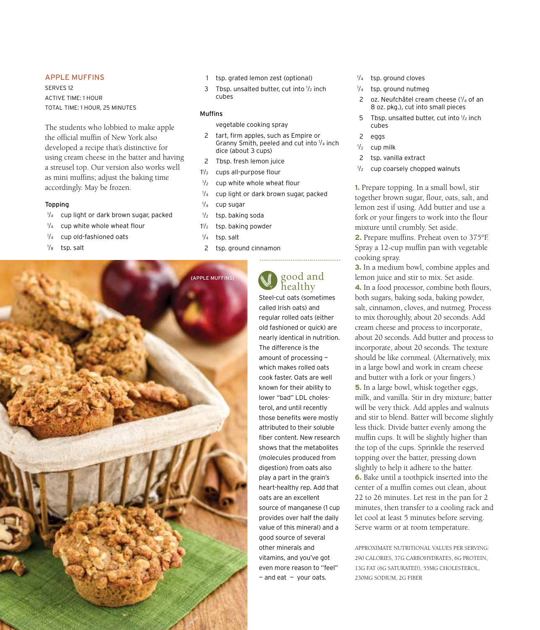### Apple Muffins

Serves 12 Active time: 1 hour Total time: 1 hour, 25 minutes

The students who lobbied to make apple the official muffin of New York also developed a recipe that's distinctive for using cream cheese in the batter and having a streusel top. Our version also works well as mini muffins; adjust the baking time accordingly. May be frozen.

### Topping

- 1 /4 cup light or dark brown sugar, packed
- $1/4$ cup white whole wheat flour
- $\frac{1}{4}$ cup old-fashioned oats
- $\frac{1}{8}$ tsp. salt



3 Tbsp. unsalted butter, cut into  $1/2$  inch cubes

### Muffins

vegetable cooking spray

- 2 tart, firm apples, such as Empire or Granny Smith, peeled and cut into  $1/4$  inch dice (about 3 cups)
- 2 Tbsp. fresh lemon juice
- 1 1 cups all-purpose flour
- $1/2$ cup white whole wheat flour
- $1/\lambda$ cup light or dark brown sugar, packed
- $1/\lambda$ cup sugar
- $1/2$ tsp. baking soda
- 1 1 tsp. baking powder
- $1/4$ tsp. salt
- 2 tsp. ground cinnamon



## good and healthy

---------------------------

Steel-cut oats (sometimes called Irish oats) and regular rolled oats (either old fashioned or quick) are nearly identical in nutrition. The difference is the amount of processing which makes rolled oats cook faster. Oats are well known for their ability to lower "bad" LDL cholesterol, and until recently those benefits were mostly attributed to their soluble fiber content. New research shows that the metabolites (molecules produced from digestion) from oats also play a part in the grain's heart-healthy rep. Add that oats are an excellent source of manganese (1 cup provides over half the daily value of this mineral) and a good source of several other minerals and vitamins, and you've got even more reason to "feel"  $-$  and eat  $-$  your oats.

- 1 /4 tsp. ground cloves
- 1 /4 tsp. ground nutmeg
- 2 oz. Neufchâtel cream cheese (1/4 of an 8 oz. pkg.), cut into small pieces
- 5 Tbsp. unsalted butter, cut into  $1/2$  inch cubes
- 2 eggs
- $\frac{1}{2}$ cup milk
- 2 tsp. vanilla extract
- $1/2$ cup coarsely chopped walnuts

**1.** Prepare topping. In a small bowl, stir together brown sugar, flour, oats, salt, and lemon zest if using. Add butter and use a fork or your fingers to work into the flour mixture until crumbly. Set aside.

**2.** Prepare muffins. Preheat oven to 375°F. Spray a 12-cup muffin pan with vegetable cooking spray.

**3.** In a medium bowl, combine apples and lemon juice and stir to mix. Set aside. **4.** In a food processor, combine both flours, both sugars, baking soda, baking powder, salt, cinnamon, cloves, and nutmeg. Process to mix thoroughly, about 20 seconds. Add cream cheese and process to incorporate, about 20 seconds. Add butter and process to incorporate, about 20 seconds. The texture should be like cornmeal. (Alternatively, mix in a large bowl and work in cream cheese and butter with a fork or your fingers.) **5.** In a large bowl, whisk together eggs, milk, and vanilla. Stir in dry mixture; batter will be very thick. Add apples and walnuts and stir to blend. Batter will become slightly less thick. Divide batter evenly among the muffin cups. It will be slightly higher than the top of the cups. Sprinkle the reserved topping over the batter, pressing down slightly to help it adhere to the batter. **6.** Bake until a toothpick inserted into the center of a muffin comes out clean, about 22 to 26 minutes. Let rest in the pan for 2 minutes, then transfer to a cooling rack and let cool at least 5 minutes before serving. Serve warm or at room temperature.

APPROXIMATE NUTRITIONAL VALUES PER SERVING: 290 CALORIES, 37G CARBOHYDRATES, 6G PROTEIN, 13G FAT (6G SATURATED), 55MG CHOLESTEROL, 230MG SODIUM, 2G FIBER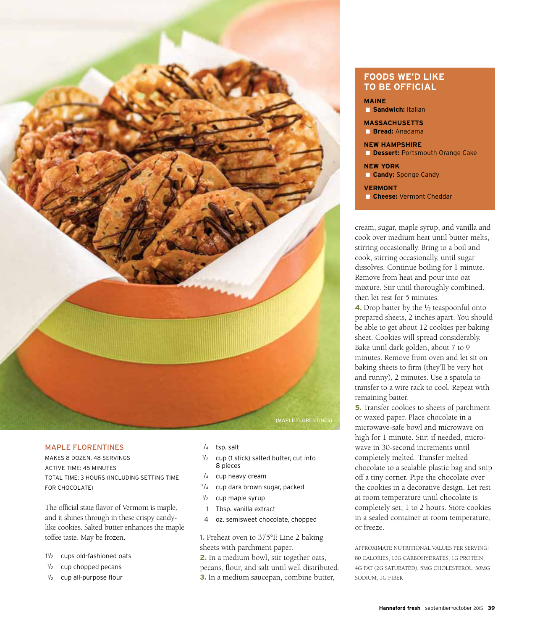

### Maple Florentines

Makes 8 dozen, 48 servings Active Time: 45 minutes Total time: 3 hours (including setting time for chocolate)

The official state flavor of Vermont is maple, and it shines through in these crispy candylike cookies. Salted butter enhances the maple toffee taste. May be frozen.

- 1 1 /2 cups old-fashioned oats
- $\frac{1}{2}$ cup chopped pecans
- $1/2$ cup all-purpose flour
- 1 /4 tsp. salt
- 1 /2 cup (1 stick) salted butter, cut into 8 pieces
- 1 /4 cup heavy cream
- $3/4$  cup dark brown sugar, packed
- $\frac{1}{2}$ cup maple syrup
- 1 Tbsp. vanilla extract
- 4 oz. semisweet chocolate, chopped

**1.** Preheat oven to 375°F. Line 2 baking sheets with parchment paper. **2.** In a medium bowl, stir together oats,

pecans, flour, and salt until well distributed. **3.** In a medium saucepan, combine butter,

### **FOODS WE'D LIKE TO BE OFFICIAL**

**MAINE**

■ **Sandwich:** Italian

**MASSACHUSETTS** ■ **Bread:** Anadama

**NEW HAMPSHIRE B** Dessert: Portsmouth Orange Cake

**NEW YORK** ■ **Candy:** Sponge Candy

### **VERMONT**

■ **Cheese:** Vermont Cheddar

cream, sugar, maple syrup, and vanilla and cook over medium heat until butter melts, stirring occasionally. Bring to a boil and cook, stirring occasionally, until sugar dissolves. Continue boiling for 1 minute. Remove from heat and pour into oat mixture. Stir until thoroughly combined, then let rest for 5 minutes.

**4.** Drop batter by the <sup>1</sup>/<sub>2</sub> teaspoonful onto prepared sheets, 2 inches apart. You should be able to get about 12 cookies per baking sheet. Cookies will spread considerably. Bake until dark golden, about 7 to 9 minutes. Remove from oven and let sit on baking sheets to firm (they'll be very hot and runny), 2 minutes. Use a spatula to transfer to a wire rack to cool. Repeat with remaining batter.

**5.** Transfer cookies to sheets of parchment or waxed paper. Place chocolate in a microwave-safe bowl and microwave on high for 1 minute. Stir; if needed, microwave in 30-second increments until completely melted. Transfer melted chocolate to a sealable plastic bag and snip off a tiny corner. Pipe the chocolate over the cookies in a decorative design. Let rest at room temperature until chocolate is completely set, 1 to 2 hours. Store cookies in a sealed container at room temperature, or freeze.

APPROXIMATE NUTRITIONAL VALUES PER SERVING: 80 CALORIES, 10G CARBOHYDRATES, 1G PROTEIN, 4G FAT (2G SATURATED), 5MG CHOLESTEROL, 30MG SODIUM, 1G FIBER